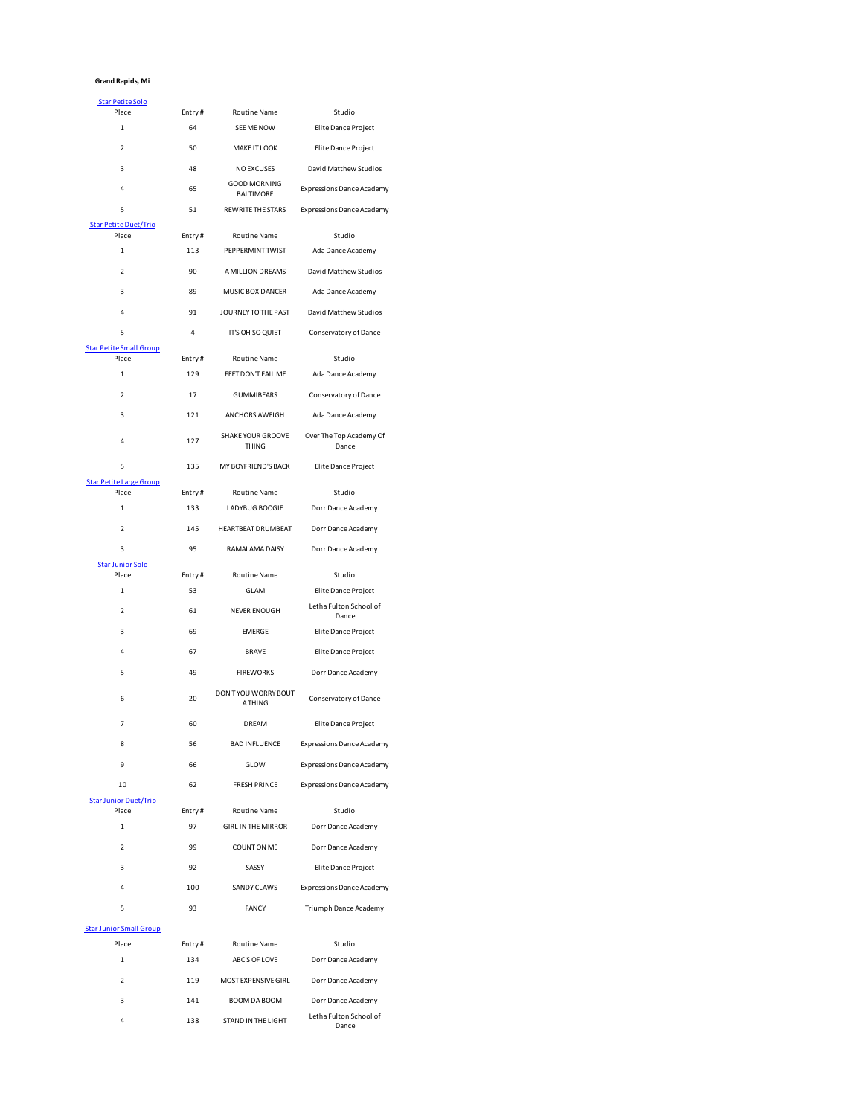## **Grand Rapids, Mi**

| <b>Star Petite Solo</b>                 |        |                                         |                                              |
|-----------------------------------------|--------|-----------------------------------------|----------------------------------------------|
| Place                                   | Entry# | <b>Routine Name</b>                     | Studio                                       |
| $\mathbf{1}$                            | 64     | SEE ME NOW                              | Elite Dance Project                          |
| $\overline{2}$                          | 50     | MAKE IT LOOK                            | Elite Dance Project                          |
| 3                                       | 48     | <b>NO EXCUSES</b>                       | David Matthew Studios                        |
| 4                                       | 65     | <b>GOOD MORNING</b><br><b>BALTIMORE</b> | <b>Expressions Dance Academy</b>             |
| 5                                       | 51     | <b>REWRITE THE STARS</b>                | <b>Expressions Dance Academy</b>             |
| <b>Star Petite Duet/Trio</b><br>Place   | Entry# | <b>Routine Name</b>                     | Studio                                       |
| $\mathbf{1}$                            | 113    | <b>PEPPERMINT TWIST</b>                 | Ada Dance Academy                            |
| $\overline{\mathbf{c}}$                 | 90     | A MILLION DREAMS                        | David Matthew Studios                        |
| 3                                       | 89     | MUSIC BOX DANCER                        | Ada Dance Academy                            |
| 4                                       | 91     | JOURNEY TO THE PAST                     | David Matthew Studios                        |
|                                         |        |                                         |                                              |
| 5<br><b>Star Petite Small Group</b>     | 4      | IT'S OH SO QUIET                        | Conservatory of Dance                        |
| Place                                   | Entry# | <b>Routine Name</b>                     | Studio                                       |
| $\mathbf{1}$                            | 129    | FEET DON'T FAIL ME                      | Ada Dance Academy                            |
| $\overline{2}$                          | 17     | <b>GUMMIBEARS</b>                       | Conservatory of Dance                        |
| 3                                       | 121    | ANCHORS AWEIGH                          | Ada Dance Academy                            |
| 4                                       | 127    | SHAKE YOUR GROOVE<br>THING              | Over The Top Academy Of<br>Dance             |
| 5                                       | 135    | MY BOYERIEND'S BACK                     | Elite Dance Project                          |
| <b>Star Petite Large Group</b><br>Place | Entry# | <b>Routine Name</b>                     | Studio                                       |
| $\mathbf{1}$                            | 133    | LADYBUG BOOGIE                          | Dorr Dance Academy                           |
| $\overline{2}$                          | 145    | HEARTBEAT DRUMBEAT                      | Dorr Dance Academy                           |
| 3                                       | 95     | RAMALAMA DAISY                          |                                              |
|                                         |        |                                         | Dorr Dance Academy                           |
|                                         |        |                                         |                                              |
| <b>Star Junior Solo</b><br>Place        | Entry# | <b>Routine Name</b>                     | Studio                                       |
| $\mathbf{1}$                            | 53     | GLAM                                    | Elite Dance Project                          |
| $\overline{2}$                          | 61     | NEVER ENOUGH                            | Letha Fulton School of<br>Dance              |
| 3                                       | 69     | <b>EMERGE</b>                           | Elite Dance Project                          |
| 4                                       | 67     | <b>BRAVE</b>                            | Elite Dance Project                          |
| 5                                       | 49     | <b>FIREWORKS</b>                        | Dorr Dance Academy                           |
| 6                                       | 20     | DON'T YOU WORRY BOUT<br><b>ATHING</b>   | Conservatory of Dance                        |
|                                         | 60     | DREAM                                   | Elite Dance Project                          |
| 8                                       | 56     | <b>BAD INFLUENCE</b>                    | <b>Expressions Dance Academy</b>             |
| 9                                       | 66     | GLOW                                    | <b>Expressions Dance Academy</b>             |
| 10                                      | 62     | <b>FRESH PRINCE</b>                     |                                              |
| <b>Star Junior Duet/Trio</b>            |        |                                         | <b>Expressions Dance Academy</b>             |
| Place                                   | Entry# | <b>Routine Name</b>                     | Studio                                       |
| $\mathbf{1}$                            | 97     | <b>GIRL IN THE MIRROR</b>               | Dorr Dance Academy                           |
| $\overline{\mathbf{c}}$                 | 99     | COUNT ON ME                             | Dorr Dance Academy                           |
| 3                                       | 92     | SASSY                                   | Elite Dance Project                          |
| 4                                       | 100    | SANDY CLAWS                             | <b>Expressions Dance Academy</b>             |
| 5                                       | 93     | FANCY                                   | Triumph Dance Academy                        |
| <b>Star Junior Small Group</b>          |        |                                         |                                              |
| Place                                   | Entry# | Routine Name                            | Studio                                       |
| $\mathbf 1$                             | 134    | ABC'S OF LOVE                           | Dorr Dance Academy                           |
| $\overline{2}$                          | 119    | MOST EXPENSIVE GIRL                     | Dorr Dance Academy                           |
| 3                                       | 141    | BOOM DA BOOM                            | Dorr Dance Academy<br>Letha Fulton School of |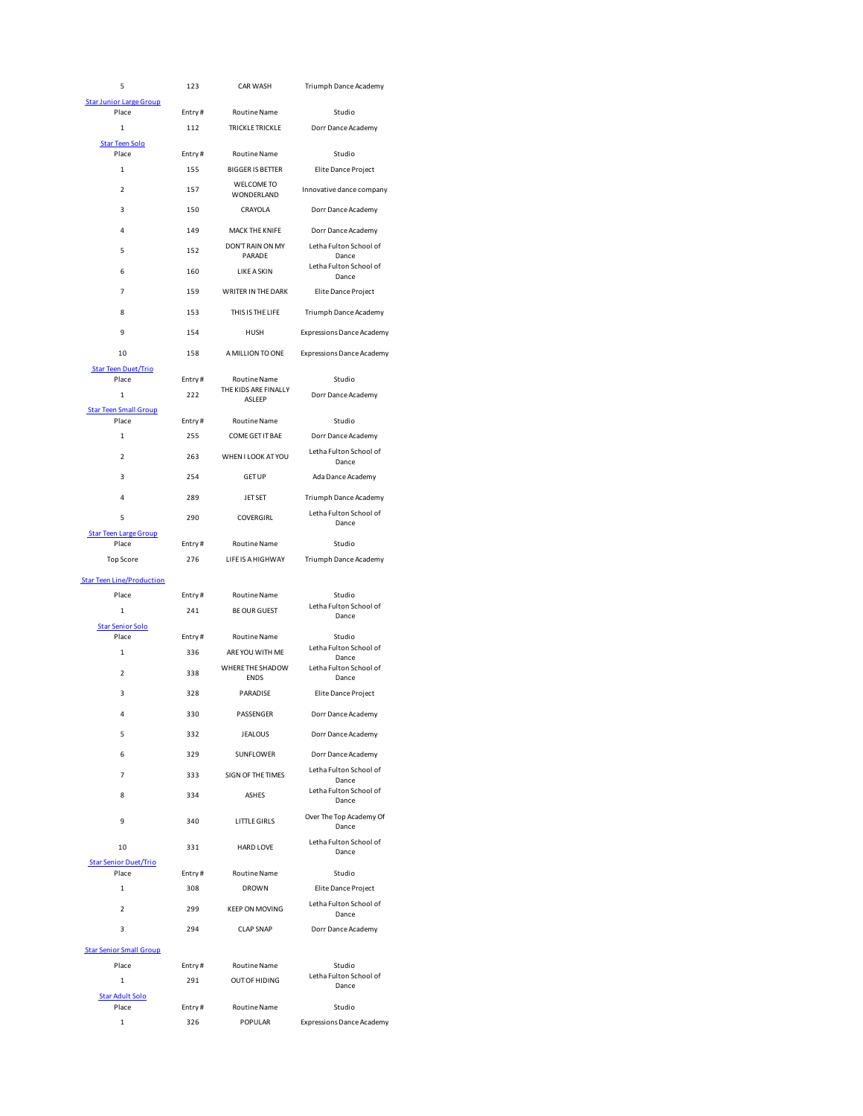| 5                                       | 123           | <b>CAR WASH</b>                                | Triumph Dance Academy                        |  |
|-----------------------------------------|---------------|------------------------------------------------|----------------------------------------------|--|
| <b>Star Junior Large Group</b><br>Place | Entry#        | <b>Routine Name</b>                            | Studio                                       |  |
| 1                                       | 112           | <b>TRICKLE TRICKLE</b>                         | Dorr Dance Academy                           |  |
| <b>Star Teen Solo</b>                   |               |                                                |                                              |  |
| Place<br>$\mathbf{1}$                   | Entry#<br>155 | <b>Routine Name</b><br><b>BIGGER IS BETTER</b> | Studio<br>Elite Dance Project                |  |
|                                         |               | <b>WELCOME TO</b>                              |                                              |  |
| $\overline{\mathbf{2}}$                 | 157           | WONDERLAND                                     | Innovative dance company                     |  |
| 3                                       | 150           | CRAYOLA                                        | Dorr Dance Academy                           |  |
| 4                                       | 149           | <b>MACK THE KNIFE</b><br>DON'T RAIN ON MY      | Dorr Dance Academy<br>Letha Fulton School of |  |
| 5                                       | 152           | PARADE                                         | Dance                                        |  |
| 6                                       | 160           | <b>LIKE A SKIN</b>                             | Letha Fulton School of<br>Dance              |  |
| 7                                       | 159           | WRITER IN THE DARK                             | Elite Dance Project                          |  |
| 8                                       | 153           | THIS IS THE LIFE                               | Triumph Dance Academy                        |  |
| 9                                       | 154           | <b>HUSH</b>                                    | <b>Expressions Dance Academy</b>             |  |
| 10                                      | 158           | A MILLION TO ONE                               | <b>Expressions Dance Academy</b>             |  |
| <b>Star Teen Duet/Trio</b>              |               |                                                |                                              |  |
| Place<br>1                              | Entry#<br>222 | <b>Routine Name</b><br>THE KIDS ARE FINALLY    | Studio<br>Dorr Dance Academy                 |  |
| <b>Star Teen Small Group</b>            |               | ASLEEP                                         |                                              |  |
| Place                                   | Entry#        | <b>Routine Name</b>                            | Studio                                       |  |
| $\mathbf{1}$                            | 255           | COME GET IT BAE                                | Dorr Dance Academy<br>Letha Fulton School of |  |
| $\overline{\phantom{a}}$                | 263           | WHEN I LOOK AT YOU                             | Dance                                        |  |
| 3                                       | 254           | <b>GET UP</b>                                  | Ada Dance Academy                            |  |
| Δ                                       | 289           | <b>JETSET</b>                                  | Triumph Dance Academy                        |  |
| 5                                       | 290           | COVERGIRL                                      | Letha Fulton School of<br>Dance              |  |
| <b>Star Teen Large Group</b><br>Place   | Entry#        | <b>Routine Name</b>                            | Studio                                       |  |
| <b>Top Score</b>                        | 276           | LIFE IS A HIGHWAY                              | Triumph Dance Academy                        |  |
| <b>Star Teen Line/Production</b>        |               |                                                |                                              |  |
| Place                                   | Entry#        | <b>Routine Name</b>                            | Studio                                       |  |
| $\mathbf{1}$                            | 241           | <b>BE OUR GUEST</b>                            | Letha Fulton School of<br>Dance              |  |
| <b>Star Senior Solo</b><br>Place        | Entry#        | <b>Routine Name</b>                            | Studio                                       |  |
| 1                                       | 336           | ARE YOU WITH ME                                | Letha Fulton School of<br>Dance              |  |
| $\overline{2}$                          | 338           | WHERE THE SHADOW<br><b>ENDS</b>                | Letha Fulton School of<br>Dance              |  |
| 3                                       | 328           | PARADISE                                       | Elite Dance Project                          |  |
| 4                                       | 330           | PASSENGER                                      | Dorr Dance Academy                           |  |
| 5                                       | 332           | <b>JEALOUS</b>                                 | Dorr Dance Academy                           |  |
| 6                                       | 329           | SUNFLOWER                                      | Dorr Dance Academy                           |  |
| 7                                       | 333           | SIGN OF THE TIMES                              | Letha Fulton School of                       |  |
| 8                                       | 334           | <b>ASHES</b>                                   | Dance<br>Letha Fulton School of              |  |
| 9                                       | 340           | <b>LITTLE GIRLS</b>                            | Dance<br>Over The Top Academy Of             |  |
|                                         |               |                                                | Dance                                        |  |
| 10                                      | 331           | <b>HARD LOVE</b>                               | Letha Fulton School of<br>Dance              |  |
| <b>Star Senior Duet/Trio</b><br>Place   | Entry#        | <b>Routine Name</b>                            | Studio                                       |  |
| 1                                       | 308           | <b>DROWN</b>                                   | Elite Dance Project                          |  |
| $\overline{\mathbf{c}}$                 | 299           | <b>KEEP ON MOVING</b>                          | Letha Fulton School of<br>Dance              |  |
| 3                                       | 294           | <b>CLAP SNAP</b>                               | Dorr Dance Academy                           |  |
| <b>Star Senior Small Group</b>          |               |                                                |                                              |  |
| Place                                   | Entry#        | <b>Routine Name</b>                            | Studio                                       |  |
| $\mathbf{1}$                            | 291           | <b>OUT OF HIDING</b>                           | Letha Fulton School of<br>Dance              |  |
| <b>Star Adult Solo</b><br>Place         | Entry#        | <b>Routine Name</b>                            | Studio                                       |  |
| 1                                       | 326           | POPULAR                                        | <b>Expressions Dance Academy</b>             |  |
|                                         |               |                                                |                                              |  |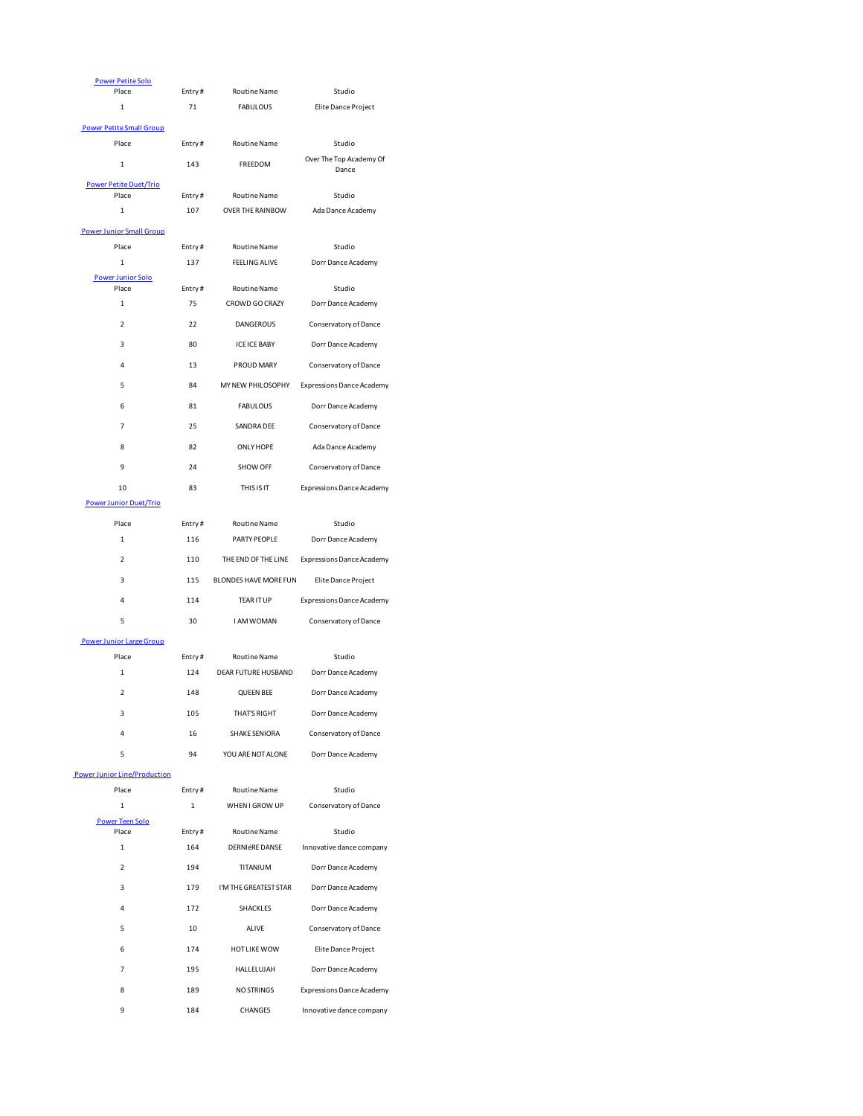| <b>Power Petite Solo</b><br>Place        | Entry#        | <b>Routine Name</b>                    | Studio                             |  |
|------------------------------------------|---------------|----------------------------------------|------------------------------------|--|
| $\mathbf{1}$                             | 71            | <b>FABULOUS</b><br>Elite Dance Project |                                    |  |
|                                          |               |                                        |                                    |  |
| <b>Power Petite Small Group</b><br>Place | Entry#        | <b>Routine Name</b>                    | Studio                             |  |
|                                          |               |                                        | Over The Top Academy Of            |  |
| $\mathbf 1$                              | 143           | FREEDOM                                | Dance                              |  |
| <b>Power Petite Duet/Trio</b><br>Place   | Entry#        | <b>Routine Name</b>                    | Studio                             |  |
| $\mathbf 1$                              | 107           | <b>OVER THE RAINBOW</b>                | Ada Dance Academy                  |  |
| <b>Power Junior Small Group</b>          |               |                                        |                                    |  |
| Place                                    | Entry#        | <b>Routine Name</b>                    | Studio                             |  |
| $\mathbf 1$                              | 137           | <b>FEELING ALIVE</b>                   | Dorr Dance Academy                 |  |
| <b>Power Junior Solo</b>                 |               |                                        |                                    |  |
| Place<br>$\mathbf 1$                     | Entry#<br>75  | <b>Routine Name</b><br>CROWD GO CRAZY  | Studio<br>Dorr Dance Academy       |  |
|                                          |               |                                        |                                    |  |
| $\overline{2}$                           | 22            | <b>DANGEROUS</b>                       | Conservatory of Dance              |  |
| 3                                        | 80            | <b>ICE ICE BABY</b>                    | Dorr Dance Academy                 |  |
| 4                                        | 13            | PROUD MARY                             | Conservatory of Dance              |  |
| 5                                        | 84            | MY NEW PHILOSOPHY                      | <b>Expressions Dance Academy</b>   |  |
| 6                                        | 81            | <b>FABULOUS</b>                        | Dorr Dance Academy                 |  |
| $\overline{7}$                           | 25            | SANDRA DEE                             | Conservatory of Dance              |  |
| 8                                        | 82            | <b>ONLY HOPE</b>                       | Ada Dance Academy                  |  |
| 9                                        | 24            | SHOW OFF                               | Conservatory of Dance              |  |
| 10                                       | 83            | THIS IS IT                             | <b>Expressions Dance Academy</b>   |  |
| <b>Power Junior Duet/Trio</b>            |               |                                        |                                    |  |
| Place                                    | Entry#        | <b>Routine Name</b>                    | Studio                             |  |
| 1                                        | 116           | PARTY PEOPLE                           | Dorr Dance Academy                 |  |
| $\overline{2}$                           | 110           | THE END OF THE LINE                    | <b>Expressions Dance Academy</b>   |  |
| 3                                        | 115           | BLONDES HAVE MORE FUN                  | Elite Dance Project                |  |
| 4                                        | 114           | TEAR IT UP                             | <b>Expressions Dance Academy</b>   |  |
| 5                                        | 30            | I AM WOMAN                             | Conservatory of Dance              |  |
| <b>Power Junior Large Group</b>          |               |                                        |                                    |  |
| Place                                    | Entry#        | <b>Routine Name</b>                    | Studio                             |  |
| 1                                        | 124           | DEAR FUTURE HUSBAND                    | Dorr Dance Academy                 |  |
| $\overline{\mathbf{c}}$                  | 148           | <b>QUEEN BEE</b>                       | Dorr Dance Academy                 |  |
| 3                                        | 105           | THAT'S RIGHT                           | Dorr Dance Academy                 |  |
| 4                                        | 16            | SHAKE SENIORA                          | Conservatory of Dance              |  |
| 5                                        | 94            | YOU ARE NOT ALONE                      | Dorr Dance Academy                 |  |
| <b>Power Junior Line/Production</b>      |               |                                        |                                    |  |
| Place                                    | Entry#        | Routine Name                           | Studio                             |  |
| $\mathbf 1$                              | $\mathbf 1$   | WHEN I GROW UP                         | Conservatory of Dance              |  |
| <b>Power Teen Solo</b>                   |               |                                        |                                    |  |
| Place<br>$\mathbf{1}$                    | Entry#<br>164 | <b>Routine Name</b><br>DERNIÉRE DANSE  | Studio<br>Innovative dance company |  |
|                                          |               |                                        |                                    |  |
| $\overline{2}$                           | 194           | TITANIUM                               | Dorr Dance Academy                 |  |
| 3                                        | 179           | I'M THE GREATEST STAR                  | Dorr Dance Academy                 |  |
| 4                                        | 172           | SHACKLES                               | Dorr Dance Academy                 |  |
| 5                                        | 10            | ALIVE                                  | Conservatory of Dance              |  |
| 6                                        | 174           | HOT LIKE WOW                           | Elite Dance Project                |  |
| $\overline{7}$                           | 195           | HALLELUJAH                             | Dorr Dance Academy                 |  |
| 8                                        | 189           | NO STRINGS                             | <b>Expressions Dance Academy</b>   |  |
| 9                                        | 184           | CHANGES                                | Innovative dance company           |  |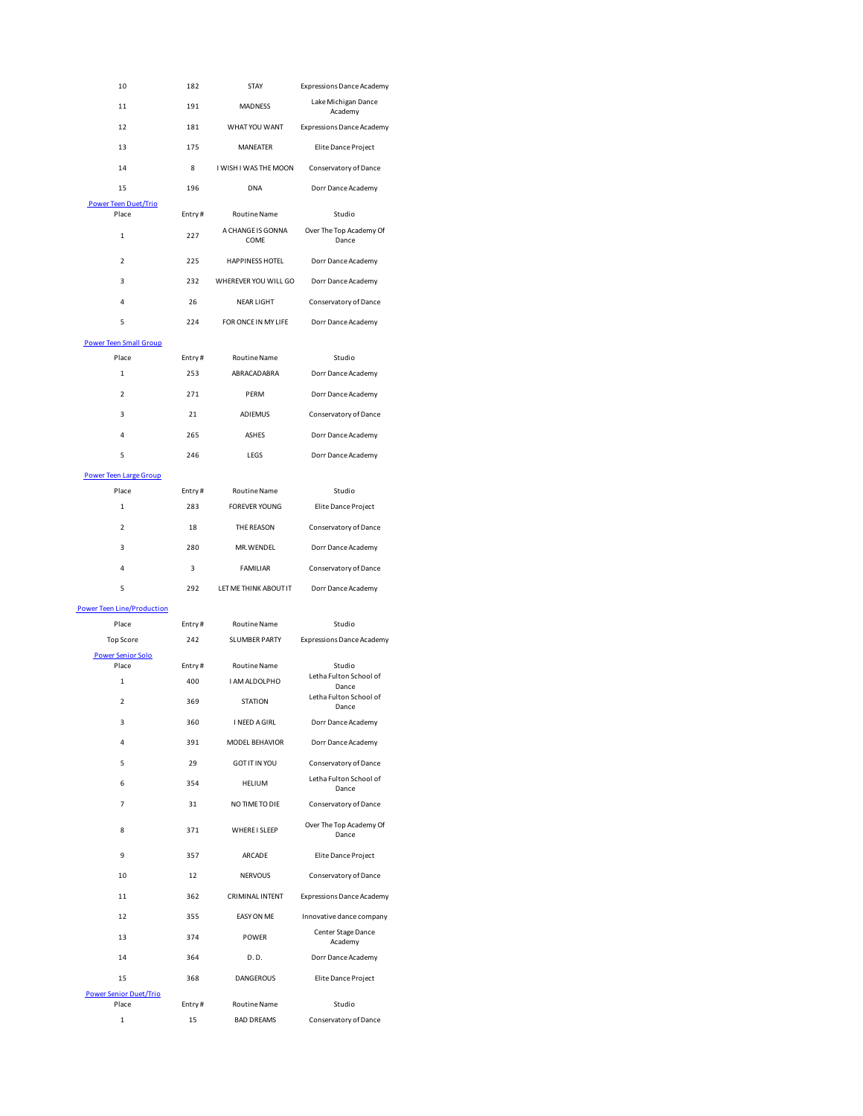| 10                                     | 182    | <b>STAY</b>               | <b>Expressions Dance Academy</b>         |
|----------------------------------------|--------|---------------------------|------------------------------------------|
| 11                                     | 191    | <b>MADNESS</b>            | Lake Michigan Dance<br>Academy           |
| 12                                     | 181    | WHAT YOU WANT             | <b>Expressions Dance Academy</b>         |
| 13                                     | 175    | <b>MANEATER</b>           | Elite Dance Project                      |
| 14                                     | 8      | I WISH I WAS THE MOON     | Conservatory of Dance                    |
| 15                                     | 196    | <b>DNA</b>                | Dorr Dance Academy                       |
| <b>Power Teen Duet/Trio</b><br>Place   | Entry# | <b>Routine Name</b>       | Studio                                   |
| $\mathbf 1$                            | 227    | A CHANGE IS GONNA<br>COME | Over The Top Academy Of<br>Dance         |
| $\overline{\mathbf{2}}$                | 225    | <b>HAPPINESS HOTEL</b>    | Dorr Dance Academy                       |
| 3                                      | 232    | WHEREVER YOU WILL GO      | Dorr Dance Academy                       |
| 4                                      | 26     | <b>NEAR LIGHT</b>         | Conservatory of Dance                    |
| 5                                      | 224    | FOR ONCE IN MY LIFE       | Dorr Dance Academy                       |
| <b>Power Teen Small Group</b>          |        |                           |                                          |
| Place                                  | Entry# | <b>Routine Name</b>       | Studio                                   |
| $\mathbf{1}$                           | 253    | ABRACADABRA               | Dorr Dance Academy                       |
| $\overline{\mathbf{2}}$                | 271    | PERM                      | Dorr Dance Academy                       |
| 3                                      | 21     | ADIEMUS                   | Conservatory of Dance                    |
| 4                                      | 265    | <b>ASHES</b>              | Dorr Dance Academy                       |
| 5                                      | 246    | LEGS                      | Dorr Dance Academy                       |
| <b>Power Teen Large Group</b>          |        |                           |                                          |
| Place                                  | Entry# | <b>Routine Name</b>       | Studio                                   |
| $\mathbf{1}$                           | 283    | <b>FOREVER YOUNG</b>      | Elite Dance Project                      |
| $\overline{\mathbf{c}}$                | 18     | THE REASON                | Conservatory of Dance                    |
| 3                                      | 280    | MR. WENDEL                | Dorr Dance Academy                       |
| 4                                      | 3      | <b>FAMILIAR</b>           | Conservatory of Dance                    |
| 5                                      | 292    | LET ME THINK ABOUT IT     | Dorr Dance Academy                       |
| <b>Power Teen Line/Production</b>      |        |                           |                                          |
| Place                                  | Entry# | <b>Routine Name</b>       | Studio                                   |
| <b>Top Score</b>                       | 242    | <b>SLUMBER PARTY</b>      | <b>Expressions Dance Academy</b>         |
| <b>Power Senior Solo</b><br>Place      | Entry# | <b>Routine Name</b>       | Studio                                   |
| 1                                      | 400    | I AM ALDOLPHO             | Letha Fulton School of                   |
| $\overline{2}$                         | 369    | <b>STATION</b>            | Dance<br>Letha Fulton School of<br>Dance |
| 3                                      | 360    | I NEED A GIRL             | Dorr Dance Academy                       |
| 4                                      | 391    | MODEL BEHAVIOR            | Dorr Dance Academy                       |
| 5                                      | 29     | <b>GOT IT IN YOU</b>      | Conservatory of Dance                    |
| 6                                      | 354    | HELIUM                    | Letha Fulton School of<br>Dance          |
| 7                                      | 31     | NO TIME TO DIE            | Conservatory of Dance                    |
| 8                                      | 371    | WHERE I SLEEP             | Over The Top Academy Of<br>Dance         |
| 9                                      | 357    | ARCADE                    | Elite Dance Project                      |
| 10                                     | 12     | <b>NERVOUS</b>            | Conservatory of Dance                    |
| 11                                     | 362    | <b>CRIMINAL INTENT</b>    | <b>Expressions Dance Academy</b>         |
| 12                                     | 355    | <b>EASY ON ME</b>         | Innovative dance company                 |
| 13                                     | 374    | POWER                     | Center Stage Dance<br>Academy            |
| 14                                     | 364    | D.D.                      | Dorr Dance Academy                       |
| 15                                     | 368    | <b>DANGEROUS</b>          | Elite Dance Project                      |
| <b>Power Senior Duet/Trio</b><br>Place | Entry# | <b>Routine Name</b>       | Studio                                   |
| $\mathbf 1$                            | 15     | <b>BAD DREAMS</b>         | Conservatory of Dance                    |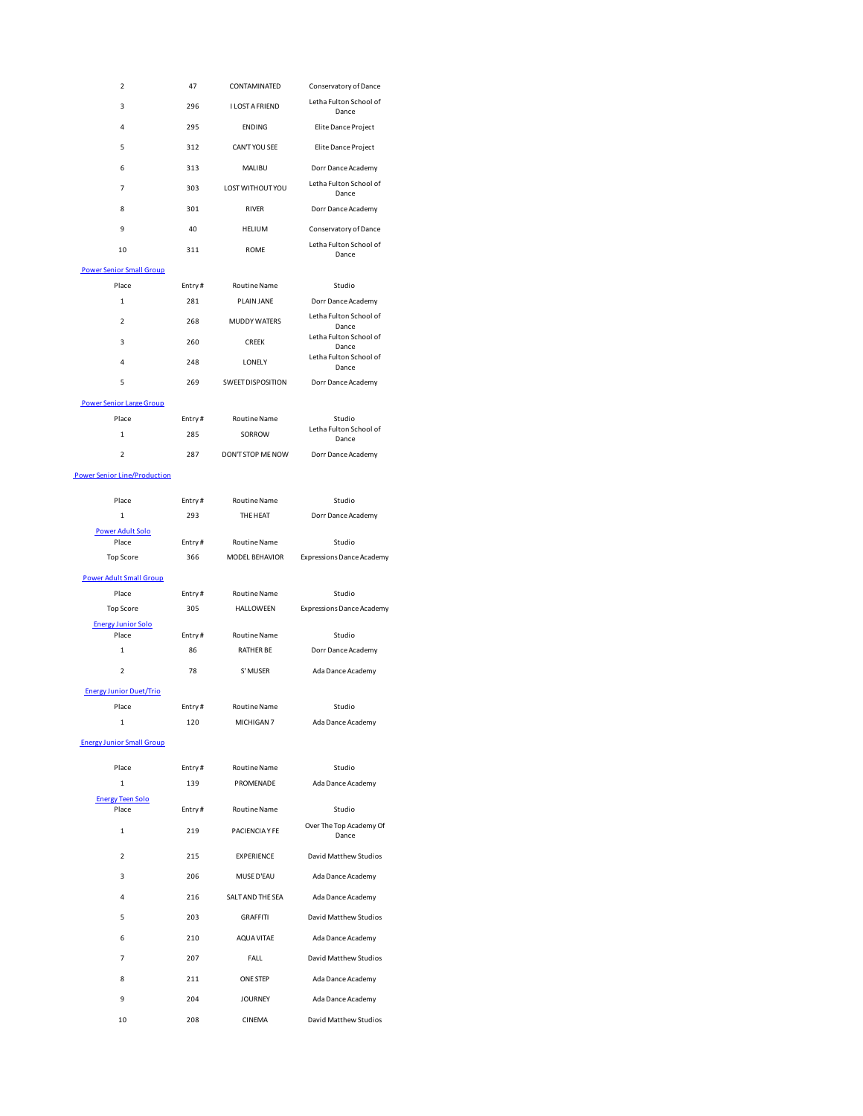| $\overline{\mathbf{c}}$             | 47     | CONTAMINATED                                              | Conservatory of Dance            |  |
|-------------------------------------|--------|-----------------------------------------------------------|----------------------------------|--|
| 3                                   | 296    | Letha Fulton School of<br><b>I LOST A FRIEND</b><br>Dance |                                  |  |
| 4                                   | 295    | <b>ENDING</b>                                             | Elite Dance Project              |  |
| 5                                   | 312    | CAN'T YOU SEE                                             | Elite Dance Project              |  |
| 6                                   | 313    | MALIBU                                                    | Dorr Dance Academy               |  |
| 7                                   | 303    | LOST WITHOUT YOU                                          | Letha Fulton School of<br>Dance  |  |
| 8                                   | 301    | <b>RIVER</b>                                              | Dorr Dance Academy               |  |
| 9                                   | 40     | <b>HELIUM</b>                                             | Conservatory of Dance            |  |
| 10                                  | 311    | <b>ROME</b>                                               | Letha Fulton School of<br>Dance  |  |
| <b>Power Senior Small Group</b>     |        |                                                           |                                  |  |
| Place                               | Entry# | <b>Routine Name</b>                                       | Studio                           |  |
| $\mathbf 1$                         | 281    | <b>PLAIN JANE</b>                                         | Dorr Dance Academy               |  |
| $\overline{\mathbf{c}}$             | 268    | <b>MUDDY WATERS</b>                                       | Letha Fulton School of<br>Dance  |  |
| 3                                   | 260    | CREEK                                                     | Letha Fulton School of<br>Dance  |  |
| 4                                   | 248    | LONELY                                                    | Letha Fulton School of<br>Dance  |  |
| 5                                   | 269    | SWEET DISPOSITION                                         | Dorr Dance Academy               |  |
| <b>Power Senior Large Group</b>     |        |                                                           |                                  |  |
| Place                               | Entry# | <b>Routine Name</b>                                       | Studio<br>Letha Fulton School of |  |
| $\mathbf{1}$                        | 285    | SORROW                                                    | Dance                            |  |
| $\overline{\mathbf{c}}$             | 287    | DON'T STOP ME NOW                                         | Dorr Dance Academy               |  |
| <b>Power Senior Line/Production</b> |        |                                                           |                                  |  |
| Place                               | Entry# | Routine Name                                              | Studio                           |  |
| $\mathbf 1$                         | 293    | THE HEAT                                                  | Dorr Dance Academy               |  |
| <b>Power Adult Solo</b><br>Place    | Entry# | <b>Routine Name</b>                                       | Studio                           |  |
| <b>Top Score</b>                    | 366    | MODEL BEHAVIOR                                            | <b>Expressions Dance Academy</b> |  |
| <b>Power Adult Small Group</b>      |        |                                                           |                                  |  |
| Place                               | Entry# | <b>Routine Name</b>                                       | Studio                           |  |
| <b>Top Score</b>                    | 305    | <b>HALLOWEEN</b>                                          | <b>Expressions Dance Academy</b> |  |
| <b>Energy Junior Solo</b><br>Place  | Entry# | <b>Routine Name</b>                                       | Studio                           |  |
| $\mathbf 1$                         | 86     | <b>RATHER BE</b>                                          | Dorr Dance Academy               |  |
| $\overline{\mathbf{c}}$             | 78     | S' MUSER                                                  | Ada Dance Academy                |  |
| <b>Energy Junior Duet/Trio</b>      |        |                                                           |                                  |  |
| Place                               | Entry# | <b>Routine Name</b>                                       | Studio                           |  |
| $\mathbf 1$                         | 120    | MICHIGAN 7                                                | Ada Dance Academy                |  |
| <b>Energy Junior Small Group</b>    |        |                                                           |                                  |  |
| Place                               | Entry# | <b>Routine Name</b>                                       | Studio                           |  |
| $\mathbf 1$                         | 139    | PROMENADE                                                 | Ada Dance Academy                |  |
| <b>Energy Teen Solo</b><br>Place    | Entry# | <b>Routine Name</b>                                       | Studio                           |  |
| $\mathbf{1}$                        | 219    | PACIENCIA Y FE                                            | Over The Top Academy Of<br>Dance |  |
| $\overline{2}$                      | 215    | <b>EXPERIENCE</b>                                         | David Matthew Studios            |  |
| 3                                   | 206    | MUSE D'EAU                                                | Ada Dance Academy                |  |
| 4                                   | 216    | SALT AND THE SEA                                          | Ada Dance Academy                |  |
| 5                                   | 203    | <b>GRAFFITI</b>                                           | David Matthew Studios            |  |
| 6                                   | 210    | AQUA VITAE                                                | Ada Dance Academy                |  |
| 7                                   | 207    | FALL                                                      | David Matthew Studios            |  |
| 8                                   | 211    | <b>ONE STEP</b>                                           | Ada Dance Academy                |  |
| 9                                   | 204    | <b>JOURNEY</b>                                            | Ada Dance Academy                |  |
| 10                                  | 208    | CINEMA                                                    | David Matthew Studios            |  |
|                                     |        |                                                           |                                  |  |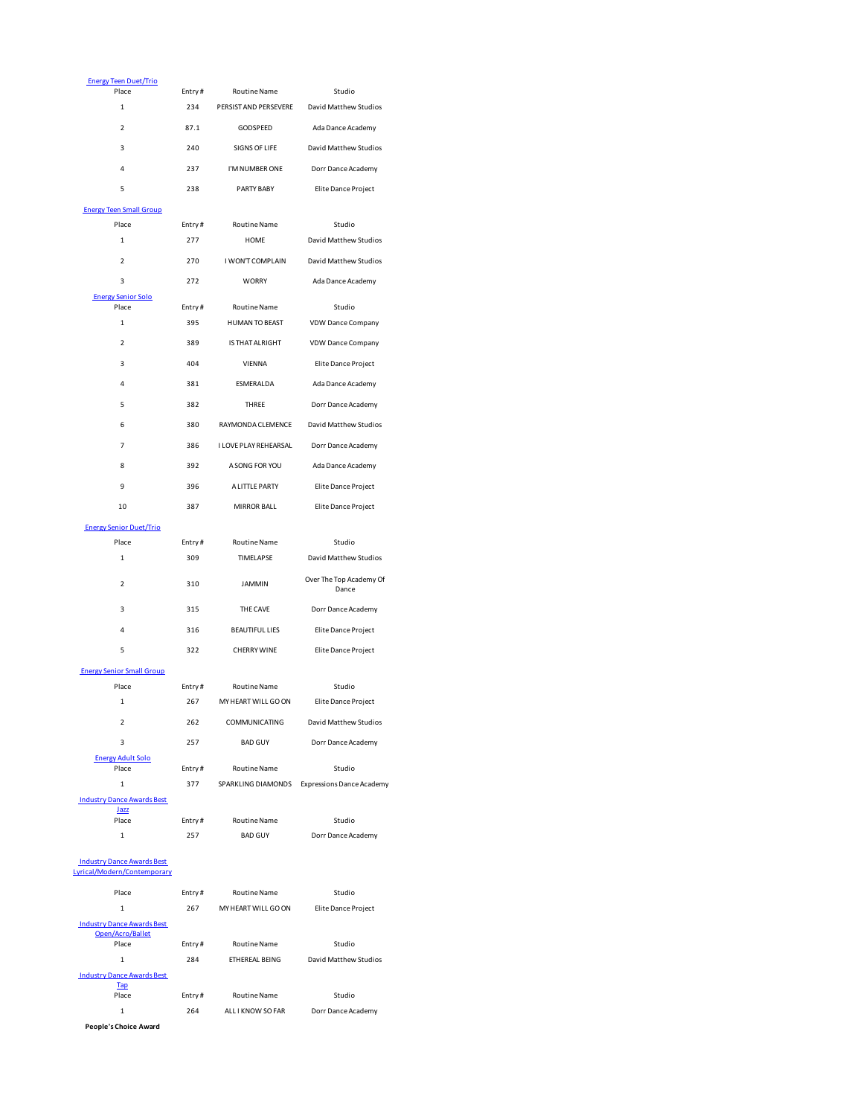| <b>Energy Teen Duet/Trio</b>                                     |        |                                                |                                  |  |
|------------------------------------------------------------------|--------|------------------------------------------------|----------------------------------|--|
| Place                                                            | Entry# | <b>Routine Name</b><br>Studio                  |                                  |  |
| $\mathbf{1}$                                                     | 234    | PERSIST AND PERSEVERE<br>David Matthew Studios |                                  |  |
| $\overline{\mathbf{c}}$                                          | 87.1   | GODSPEED                                       | Ada Dance Academy                |  |
| 3                                                                | 240    | SIGNS OF LIFE                                  | David Matthew Studios            |  |
| 4                                                                | 237    | I'M NUMBER ONE                                 | Dorr Dance Academy               |  |
| 5                                                                | 238    | PARTY BABY                                     | Elite Dance Project              |  |
| <b>Energy Teen Small Group</b>                                   |        |                                                |                                  |  |
| Place                                                            | Entry# | <b>Routine Name</b>                            | Studio                           |  |
| $\mathbf{1}$                                                     | 277    | HOME                                           | David Matthew Studios            |  |
| $\overline{\mathbf{2}}$                                          | 270    | I WON'T COMPLAIN                               | David Matthew Studios            |  |
| 3<br><b>Energy Senior Solo</b>                                   | 272    | <b>WORRY</b>                                   | Ada Dance Academy                |  |
| Place                                                            | Entry# | <b>Routine Name</b>                            | Studio                           |  |
| $\mathbf{1}$                                                     | 395    | <b>HUMAN TO BEAST</b>                          | VDW Dance Company                |  |
| $\overline{\mathbf{c}}$                                          | 389    | IS THAT ALRIGHT                                | <b>VDW Dance Company</b>         |  |
| 3                                                                | 404    | <b>VIENNA</b>                                  | Elite Dance Project              |  |
| 4                                                                | 381    | ESMERALDA                                      | Ada Dance Academy                |  |
| 5                                                                | 382    | THREE                                          | Dorr Dance Academy               |  |
| 6                                                                | 380    | RAYMONDA CLEMENCE                              | David Matthew Studios            |  |
| $\overline{7}$                                                   | 386    | I LOVE PLAY REHEARSAL                          | Dorr Dance Academy               |  |
| 8                                                                | 392    | A SONG FOR YOU                                 | Ada Dance Academy                |  |
| 9                                                                | 396    | A LITTLE PARTY                                 | Elite Dance Project              |  |
| 10                                                               | 387    | <b>MIRROR BALL</b>                             | Elite Dance Project              |  |
| <b>Energy Senior Duet/Trio</b>                                   |        |                                                |                                  |  |
| Place                                                            | Entry# | <b>Routine Name</b>                            | Studio                           |  |
| $\mathbf{1}$                                                     | 309    | TIMELAPSE                                      | David Matthew Studios            |  |
| $\overline{\mathbf{2}}$                                          | 310    | <b>JAMMIN</b>                                  | Over The Top Academy Of<br>Dance |  |
| 3                                                                | 315    | THE CAVE                                       | Dorr Dance Academy               |  |
| 4                                                                | 316    | <b>BEAUTIFUL LIES</b>                          | Elite Dance Project              |  |
| 5                                                                | 322    | <b>CHERRY WINE</b>                             | Elite Dance Project              |  |
| <b>Energy Senior Small Group</b>                                 |        |                                                |                                  |  |
| Place                                                            | Entry# | <b>Routine Name</b>                            | Studio                           |  |
| $\mathbf{1}$                                                     | 267    | MY HEART WILL GO ON                            | Elite Dance Project              |  |
| 2                                                                | 262    | COMMUNICATING                                  | David Matthew Studios            |  |
| 3                                                                | 257    | <b>BAD GUY</b>                                 | Dorr Dance Academy               |  |
| <b>Energy Adult Solo</b><br>Place                                | Entry# | <b>Routine Name</b>                            | Studio                           |  |
| $\mathbf{1}$                                                     | 377    | SPARKLING DIAMONDS                             | <b>Expressions Dance Academy</b> |  |
| <b>Industry Dance Awards Best</b>                                |        |                                                |                                  |  |
| Jazz                                                             |        |                                                |                                  |  |
| Place                                                            | Entry# | <b>Routine Name</b>                            | Studio                           |  |
| 1                                                                | 257    | <b>BAD GUY</b>                                 | Dorr Dance Academy               |  |
| <b>Industry Dance Awards Best</b><br>Lyrical/Modern/Contemporary |        |                                                |                                  |  |
| Place                                                            | Entry# | <b>Routine Name</b>                            | Studio                           |  |
| $\mathbf 1$                                                      | 267    | MY HEART WILL GO ON                            | Elite Dance Project              |  |
| <b>Industry Dance Awards Best</b>                                |        |                                                |                                  |  |
| Open/Acro/Ballet                                                 |        |                                                |                                  |  |
| Place                                                            | Entry# | <b>Routine Name</b>                            | Studio                           |  |
| $\mathbf 1$                                                      | 284    | ETHEREAL BEING                                 | David Matthew Studios            |  |
| <b>Industry Dance Awards Best</b><br>Tap                         |        |                                                |                                  |  |
| Place                                                            | Entry# | <b>Routine Name</b>                            | Studio                           |  |
| 1                                                                | 264    | ALL I KNOW SO FAR                              | Dorr Dance Academy               |  |
| People's Choice Award                                            |        |                                                |                                  |  |